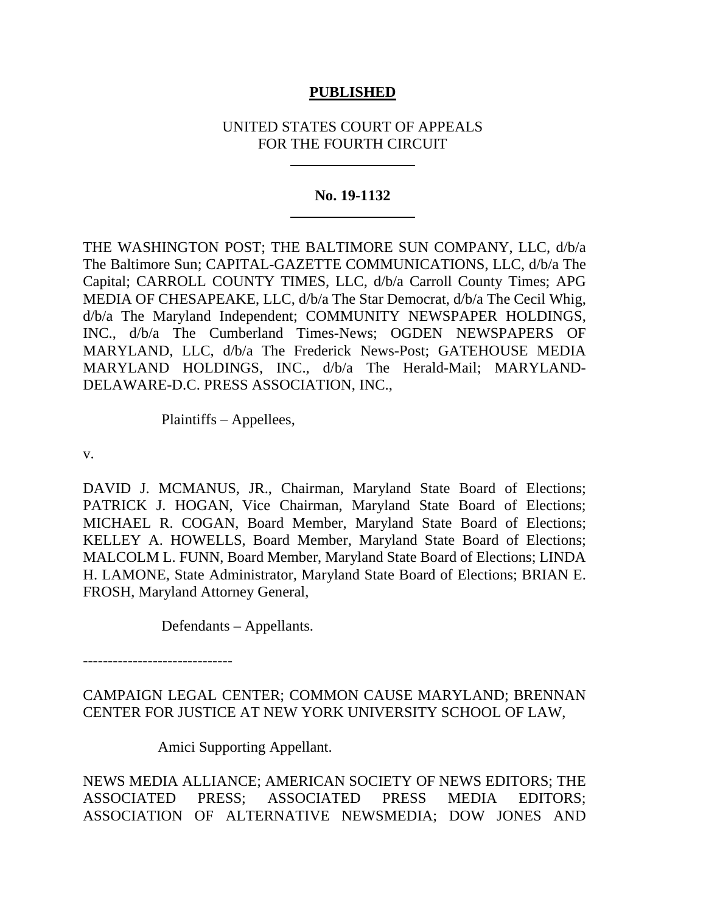# **PUBLISHED**

# UNITED STATES COURT OF APPEALS FOR THE FOURTH CIRCUIT

## **No. 19-1132**

THE WASHINGTON POST; THE BALTIMORE SUN COMPANY, LLC, d/b/a The Baltimore Sun; CAPITAL-GAZETTE COMMUNICATIONS, LLC, d/b/a The Capital; CARROLL COUNTY TIMES, LLC, d/b/a Carroll County Times; APG MEDIA OF CHESAPEAKE, LLC, d/b/a The Star Democrat, d/b/a The Cecil Whig, d/b/a The Maryland Independent; COMMUNITY NEWSPAPER HOLDINGS, INC., d/b/a The Cumberland Times-News; OGDEN NEWSPAPERS OF MARYLAND, LLC, d/b/a The Frederick News-Post; GATEHOUSE MEDIA MARYLAND HOLDINGS, INC., d/b/a The Herald-Mail; MARYLAND-DELAWARE-D.C. PRESS ASSOCIATION, INC.,

Plaintiffs – Appellees,

v.

DAVID J. MCMANUS, JR., Chairman, Maryland State Board of Elections; PATRICK J. HOGAN, Vice Chairman, Maryland State Board of Elections; MICHAEL R. COGAN, Board Member, Maryland State Board of Elections; KELLEY A. HOWELLS, Board Member, Maryland State Board of Elections; MALCOLM L. FUNN, Board Member, Maryland State Board of Elections; LINDA H. LAMONE, State Administrator, Maryland State Board of Elections; BRIAN E. FROSH, Maryland Attorney General,

Defendants – Appellants.

------------------------------

CAMPAIGN LEGAL CENTER; COMMON CAUSE MARYLAND; BRENNAN CENTER FOR JUSTICE AT NEW YORK UNIVERSITY SCHOOL OF LAW,

Amici Supporting Appellant.

NEWS MEDIA ALLIANCE; AMERICAN SOCIETY OF NEWS EDITORS; THE ASSOCIATED PRESS; ASSOCIATED PRESS MEDIA EDITORS; ASSOCIATION OF ALTERNATIVE NEWSMEDIA; DOW JONES AND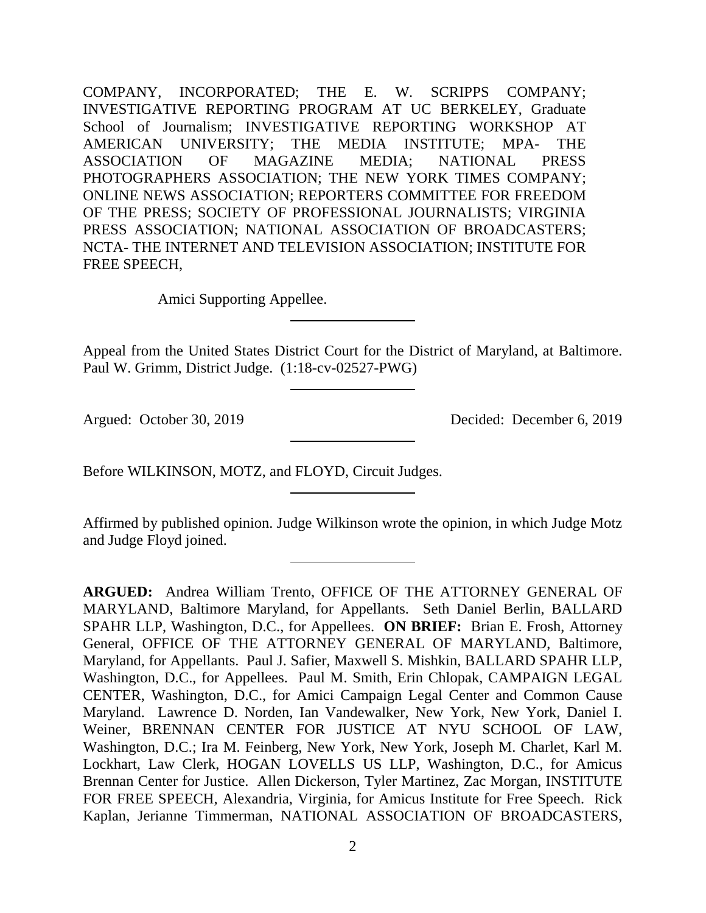COMPANY, INCORPORATED; THE E. W. SCRIPPS COMPANY; INVESTIGATIVE REPORTING PROGRAM AT UC BERKELEY, Graduate School of Journalism; INVESTIGATIVE REPORTING WORKSHOP AT AMERICAN UNIVERSITY; THE MEDIA INSTITUTE; MPA- THE ASSOCIATION OF MAGAZINE MEDIA; NATIONAL PRESS PHOTOGRAPHERS ASSOCIATION; THE NEW YORK TIMES COMPANY; ONLINE NEWS ASSOCIATION; REPORTERS COMMITTEE FOR FREEDOM OF THE PRESS; SOCIETY OF PROFESSIONAL JOURNALISTS; VIRGINIA PRESS ASSOCIATION; NATIONAL ASSOCIATION OF BROADCASTERS; NCTA- THE INTERNET AND TELEVISION ASSOCIATION; INSTITUTE FOR FREE SPEECH,

Amici Supporting Appellee.

Appeal from the United States District Court for the District of Maryland, at Baltimore. Paul W. Grimm, District Judge. (1:18-cv-02527-PWG)

Argued: October 30, 2019 Decided: December 6, 2019

Before WILKINSON, MOTZ, and FLOYD, Circuit Judges.

Affirmed by published opinion. Judge Wilkinson wrote the opinion, in which Judge Motz and Judge Floyd joined.

**ARGUED:** Andrea William Trento, OFFICE OF THE ATTORNEY GENERAL OF MARYLAND, Baltimore Maryland, for Appellants. Seth Daniel Berlin, BALLARD SPAHR LLP, Washington, D.C., for Appellees. **ON BRIEF:** Brian E. Frosh, Attorney General, OFFICE OF THE ATTORNEY GENERAL OF MARYLAND, Baltimore, Maryland, for Appellants. Paul J. Safier, Maxwell S. Mishkin, BALLARD SPAHR LLP, Washington, D.C., for Appellees. Paul M. Smith, Erin Chlopak, CAMPAIGN LEGAL CENTER, Washington, D.C., for Amici Campaign Legal Center and Common Cause Maryland. Lawrence D. Norden, Ian Vandewalker, New York, New York, Daniel I. Weiner, BRENNAN CENTER FOR JUSTICE AT NYU SCHOOL OF LAW, Washington, D.C.; Ira M. Feinberg, New York, New York, Joseph M. Charlet, Karl M. Lockhart, Law Clerk, HOGAN LOVELLS US LLP, Washington, D.C., for Amicus Brennan Center for Justice. Allen Dickerson, Tyler Martinez, Zac Morgan, INSTITUTE FOR FREE SPEECH, Alexandria, Virginia, for Amicus Institute for Free Speech. Rick Kaplan, Jerianne Timmerman, NATIONAL ASSOCIATION OF BROADCASTERS,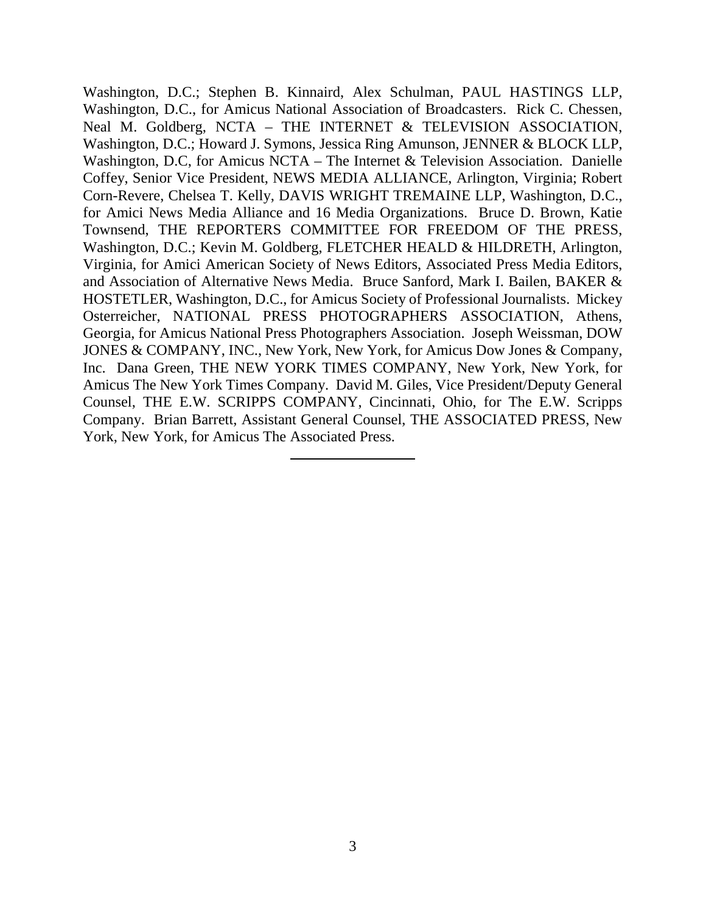Washington, D.C.; Stephen B. Kinnaird, Alex Schulman, PAUL HASTINGS LLP, Washington, D.C., for Amicus National Association of Broadcasters. Rick C. Chessen, Neal M. Goldberg, NCTA – THE INTERNET & TELEVISION ASSOCIATION, Washington, D.C.; Howard J. Symons, Jessica Ring Amunson, JENNER & BLOCK LLP, Washington, D.C, for Amicus NCTA – The Internet & Television Association. Danielle Coffey, Senior Vice President, NEWS MEDIA ALLIANCE, Arlington, Virginia; Robert Corn-Revere, Chelsea T. Kelly, DAVIS WRIGHT TREMAINE LLP, Washington, D.C., for Amici News Media Alliance and 16 Media Organizations. Bruce D. Brown, Katie Townsend, THE REPORTERS COMMITTEE FOR FREEDOM OF THE PRESS, Washington, D.C.; Kevin M. Goldberg, FLETCHER HEALD & HILDRETH, Arlington, Virginia, for Amici American Society of News Editors, Associated Press Media Editors, and Association of Alternative News Media. Bruce Sanford, Mark I. Bailen, BAKER & HOSTETLER, Washington, D.C., for Amicus Society of Professional Journalists. Mickey Osterreicher, NATIONAL PRESS PHOTOGRAPHERS ASSOCIATION, Athens, Georgia, for Amicus National Press Photographers Association. Joseph Weissman, DOW JONES & COMPANY, INC., New York, New York, for Amicus Dow Jones & Company, Inc. Dana Green, THE NEW YORK TIMES COMPANY, New York, New York, for Amicus The New York Times Company. David M. Giles, Vice President/Deputy General Counsel, THE E.W. SCRIPPS COMPANY, Cincinnati, Ohio, for The E.W. Scripps Company. Brian Barrett, Assistant General Counsel, THE ASSOCIATED PRESS, New York, New York, for Amicus The Associated Press.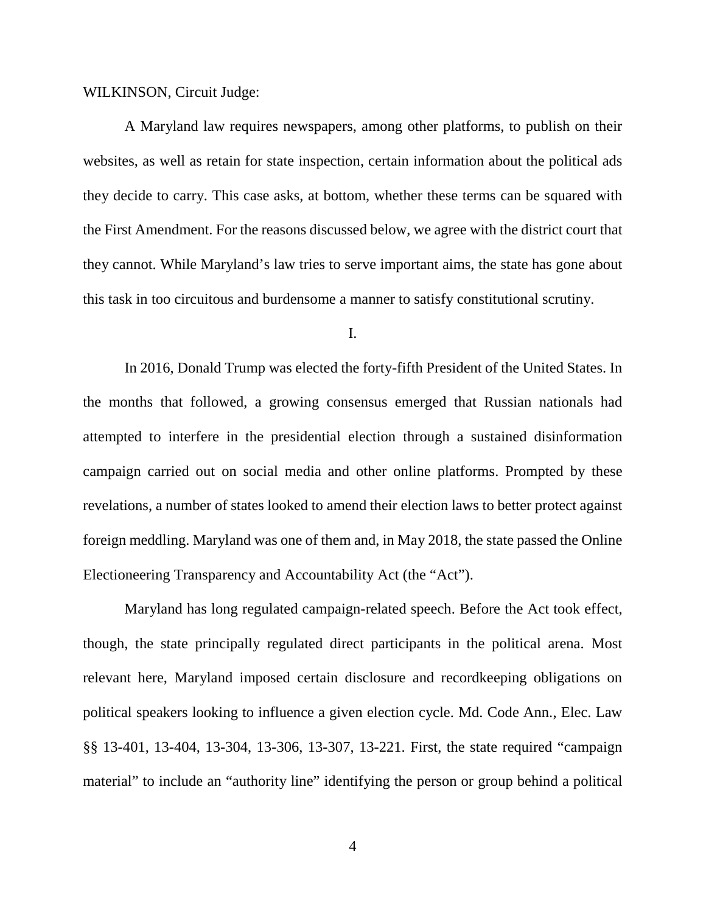WILKINSON, Circuit Judge:

A Maryland law requires newspapers, among other platforms, to publish on their websites, as well as retain for state inspection, certain information about the political ads they decide to carry. This case asks, at bottom, whether these terms can be squared with the First Amendment. For the reasons discussed below, we agree with the district court that they cannot. While Maryland's law tries to serve important aims, the state has gone about this task in too circuitous and burdensome a manner to satisfy constitutional scrutiny.

I.

In 2016, Donald Trump was elected the forty-fifth President of the United States. In the months that followed, a growing consensus emerged that Russian nationals had attempted to interfere in the presidential election through a sustained disinformation campaign carried out on social media and other online platforms. Prompted by these revelations, a number of states looked to amend their election laws to better protect against foreign meddling. Maryland was one of them and, in May 2018, the state passed the Online Electioneering Transparency and Accountability Act (the "Act").

Maryland has long regulated campaign-related speech. Before the Act took effect, though, the state principally regulated direct participants in the political arena. Most relevant here, Maryland imposed certain disclosure and recordkeeping obligations on political speakers looking to influence a given election cycle. Md. Code Ann., Elec. Law §§ 13-401, 13-404, 13-304, 13-306, 13-307, 13-221. First, the state required "campaign material" to include an "authority line" identifying the person or group behind a political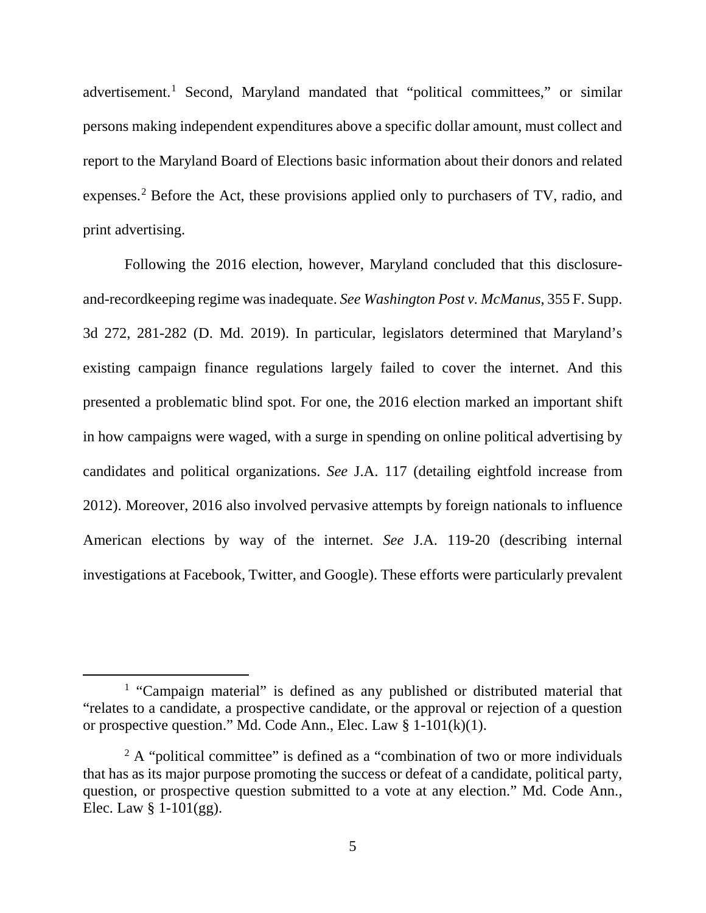advertisement.<sup>[1](#page-4-0)</sup> Second, Maryland mandated that "political committees," or similar persons making independent expenditures above a specific dollar amount, must collect and report to the Maryland Board of Elections basic information about their donors and related expenses.<sup>[2](#page-4-1)</sup> Before the Act, these provisions applied only to purchasers of TV, radio, and print advertising.

Following the 2016 election, however, Maryland concluded that this disclosureand-recordkeeping regime was inadequate. *See Washington Post v. McManus*, 355 F. Supp. 3d 272, 281-282 (D. Md. 2019). In particular, legislators determined that Maryland's existing campaign finance regulations largely failed to cover the internet. And this presented a problematic blind spot. For one, the 2016 election marked an important shift in how campaigns were waged, with a surge in spending on online political advertising by candidates and political organizations. *See* J.A. 117 (detailing eightfold increase from 2012). Moreover, 2016 also involved pervasive attempts by foreign nationals to influence American elections by way of the internet. *See* J.A. 119-20 (describing internal investigations at Facebook, Twitter, and Google). These efforts were particularly prevalent

<span id="page-4-0"></span><sup>&</sup>lt;sup>1</sup> "Campaign material" is defined as any published or distributed material that "relates to a candidate, a prospective candidate, or the approval or rejection of a question or prospective question." Md. Code Ann., Elec. Law § 1-101(k)(1).

<span id="page-4-1"></span> $2 \text{ A}$  "political committee" is defined as a "combination of two or more individuals that has as its major purpose promoting the success or defeat of a candidate, political party, question, or prospective question submitted to a vote at any election." Md. Code Ann., Elec. Law  $§$  1-101(gg).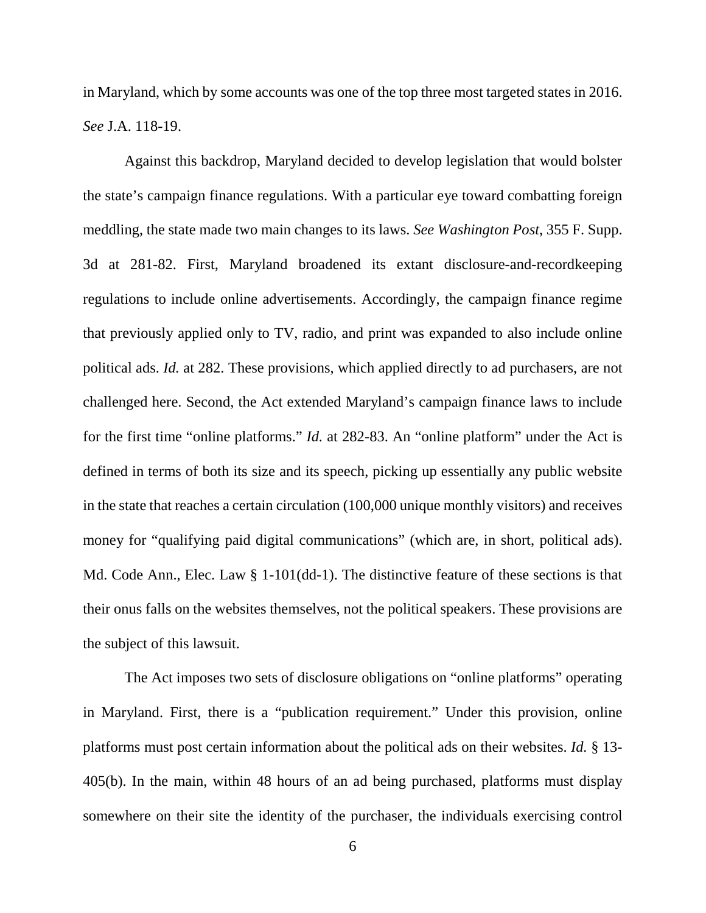in Maryland, which by some accounts was one of the top three most targeted states in 2016. *See* J.A. 118-19.

Against this backdrop, Maryland decided to develop legislation that would bolster the state's campaign finance regulations. With a particular eye toward combatting foreign meddling, the state made two main changes to its laws. *See Washington Post*, 355 F. Supp. 3d at 281-82. First, Maryland broadened its extant disclosure-and-recordkeeping regulations to include online advertisements. Accordingly, the campaign finance regime that previously applied only to TV, radio, and print was expanded to also include online political ads. *Id.* at 282. These provisions, which applied directly to ad purchasers, are not challenged here. Second, the Act extended Maryland's campaign finance laws to include for the first time "online platforms." *Id.* at 282-83. An "online platform" under the Act is defined in terms of both its size and its speech, picking up essentially any public website in the state that reaches a certain circulation (100,000 unique monthly visitors) and receives money for "qualifying paid digital communications" (which are, in short, political ads). Md. Code Ann., Elec. Law § 1-101(dd-1). The distinctive feature of these sections is that their onus falls on the websites themselves, not the political speakers. These provisions are the subject of this lawsuit.

The Act imposes two sets of disclosure obligations on "online platforms" operating in Maryland. First, there is a "publication requirement." Under this provision, online platforms must post certain information about the political ads on their websites. *Id.* § 13- 405(b). In the main, within 48 hours of an ad being purchased, platforms must display somewhere on their site the identity of the purchaser, the individuals exercising control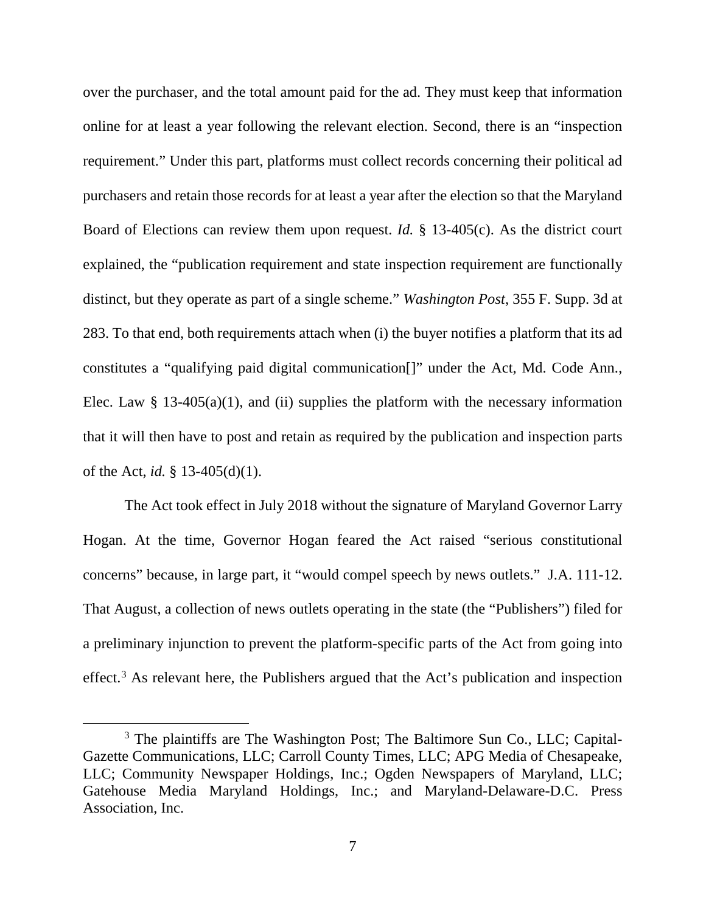over the purchaser, and the total amount paid for the ad. They must keep that information online for at least a year following the relevant election. Second, there is an "inspection requirement." Under this part, platforms must collect records concerning their political ad purchasers and retain those records for at least a year after the election so that the Maryland Board of Elections can review them upon request. *Id.* § 13-405(c). As the district court explained, the "publication requirement and state inspection requirement are functionally distinct, but they operate as part of a single scheme." *Washington Post*, 355 F. Supp. 3d at 283. To that end, both requirements attach when (i) the buyer notifies a platform that its ad constitutes a "qualifying paid digital communication[]" under the Act, Md. Code Ann., Elec. Law  $\S$  13-405(a)(1), and (ii) supplies the platform with the necessary information that it will then have to post and retain as required by the publication and inspection parts of the Act, *id.* § 13-405(d)(1).

The Act took effect in July 2018 without the signature of Maryland Governor Larry Hogan. At the time, Governor Hogan feared the Act raised "serious constitutional concerns" because, in large part, it "would compel speech by news outlets." J.A. 111-12. That August, a collection of news outlets operating in the state (the "Publishers") filed for a preliminary injunction to prevent the platform-specific parts of the Act from going into effect.<sup>[3](#page-6-0)</sup> As relevant here, the Publishers argued that the Act's publication and inspection

<span id="page-6-0"></span><sup>&</sup>lt;sup>3</sup> The plaintiffs are The Washington Post; The Baltimore Sun Co., LLC; Capital-Gazette Communications, LLC; Carroll County Times, LLC; APG Media of Chesapeake, LLC; Community Newspaper Holdings, Inc.; Ogden Newspapers of Maryland, LLC; Gatehouse Media Maryland Holdings, Inc.; and Maryland-Delaware-D.C. Press Association, Inc.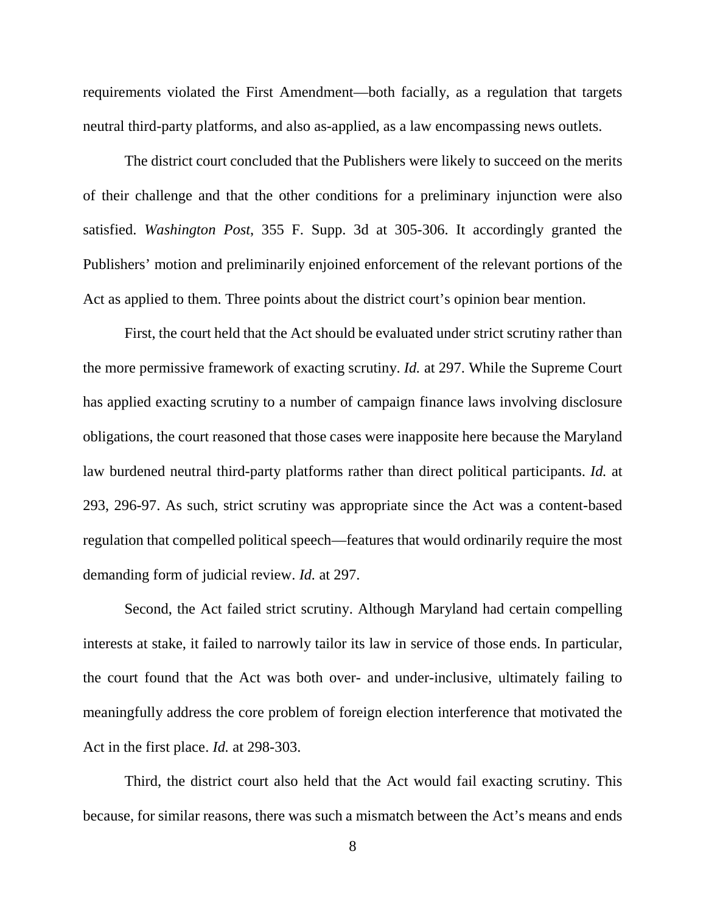requirements violated the First Amendment—both facially, as a regulation that targets neutral third-party platforms, and also as-applied, as a law encompassing news outlets.

The district court concluded that the Publishers were likely to succeed on the merits of their challenge and that the other conditions for a preliminary injunction were also satisfied. *Washington Post*, 355 F. Supp. 3d at 305-306. It accordingly granted the Publishers' motion and preliminarily enjoined enforcement of the relevant portions of the Act as applied to them. Three points about the district court's opinion bear mention.

First, the court held that the Act should be evaluated under strict scrutiny rather than the more permissive framework of exacting scrutiny. *Id.* at 297. While the Supreme Court has applied exacting scrutiny to a number of campaign finance laws involving disclosure obligations, the court reasoned that those cases were inapposite here because the Maryland law burdened neutral third-party platforms rather than direct political participants. *Id.* at 293, 296-97. As such, strict scrutiny was appropriate since the Act was a content-based regulation that compelled political speech—features that would ordinarily require the most demanding form of judicial review. *Id.* at 297.

Second, the Act failed strict scrutiny. Although Maryland had certain compelling interests at stake, it failed to narrowly tailor its law in service of those ends. In particular, the court found that the Act was both over- and under-inclusive, ultimately failing to meaningfully address the core problem of foreign election interference that motivated the Act in the first place. *Id.* at 298-303.

Third, the district court also held that the Act would fail exacting scrutiny. This because, for similar reasons, there was such a mismatch between the Act's means and ends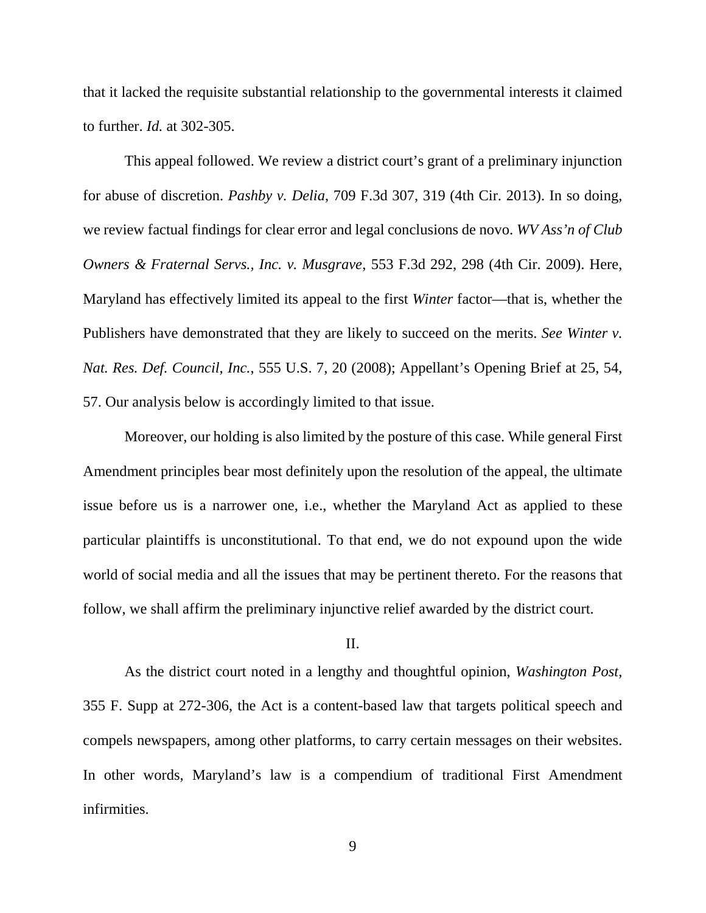that it lacked the requisite substantial relationship to the governmental interests it claimed to further. *Id.* at 302-305.

This appeal followed. We review a district court's grant of a preliminary injunction for abuse of discretion. *Pashby v. Delia*, 709 F.3d 307, 319 (4th Cir. 2013). In so doing, we review factual findings for clear error and legal conclusions de novo. *WV Ass'n of Club Owners & Fraternal Servs., Inc. v. Musgrave*, 553 F.3d 292, 298 (4th Cir. 2009). Here, Maryland has effectively limited its appeal to the first *Winter* factor—that is, whether the Publishers have demonstrated that they are likely to succeed on the merits. *See Winter v. Nat. Res. Def. Council, Inc.*, 555 U.S. 7, 20 (2008); Appellant's Opening Brief at 25, 54, 57. Our analysis below is accordingly limited to that issue.

Moreover, our holding is also limited by the posture of this case. While general First Amendment principles bear most definitely upon the resolution of the appeal, the ultimate issue before us is a narrower one, i.e., whether the Maryland Act as applied to these particular plaintiffs is unconstitutional. To that end, we do not expound upon the wide world of social media and all the issues that may be pertinent thereto. For the reasons that follow, we shall affirm the preliminary injunctive relief awarded by the district court.

### II.

As the district court noted in a lengthy and thoughtful opinion, *Washington Post*, 355 F. Supp at 272-306, the Act is a content-based law that targets political speech and compels newspapers, among other platforms, to carry certain messages on their websites. In other words, Maryland's law is a compendium of traditional First Amendment infirmities.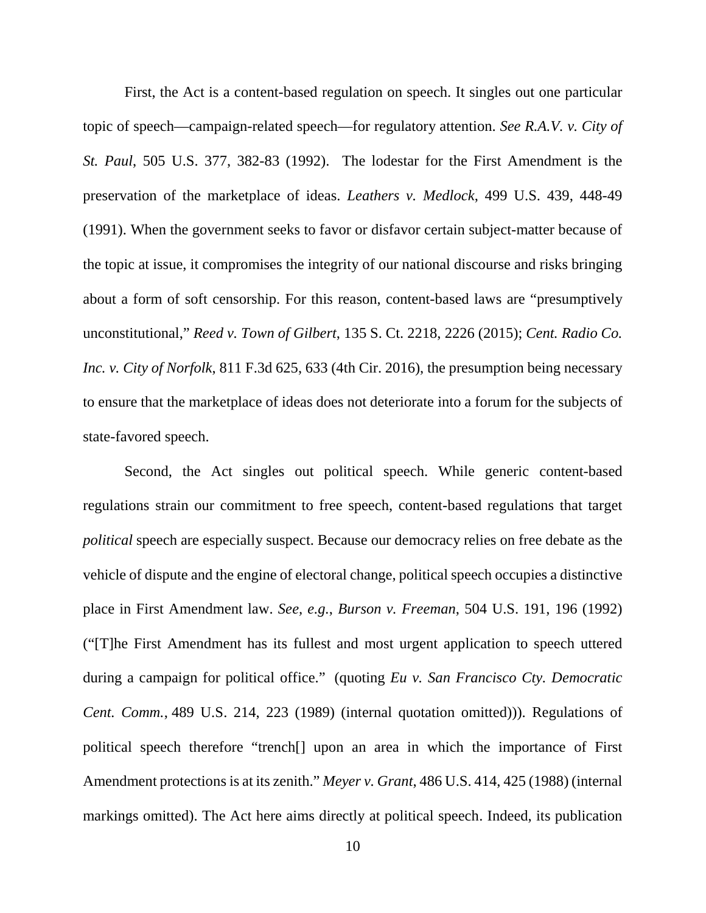First, the Act is a content-based regulation on speech. It singles out one particular topic of speech—campaign-related speech—for regulatory attention. *See R.A.V. v. City of St. Paul*, 505 U.S. 377, 382-83 (1992). The lodestar for the First Amendment is the preservation of the marketplace of ideas. *Leathers v. Medlock*, 499 U.S. 439, 448-49 (1991). When the government seeks to favor or disfavor certain subject-matter because of the topic at issue, it compromises the integrity of our national discourse and risks bringing about a form of soft censorship. For this reason, content-based laws are "presumptively unconstitutional," *Reed v. Town of Gilbert*, 135 S. Ct. 2218, 2226 (2015); *Cent. Radio Co. Inc. v. City of Norfolk*, 811 F.3d 625, 633 (4th Cir. 2016), the presumption being necessary to ensure that the marketplace of ideas does not deteriorate into a forum for the subjects of state-favored speech.

Second, the Act singles out political speech. While generic content-based regulations strain our commitment to free speech, content-based regulations that target *political* speech are especially suspect. Because our democracy relies on free debate as the vehicle of dispute and the engine of electoral change, political speech occupies a distinctive place in First Amendment law. *See, e.g.*, *Burson v. Freeman*, 504 U.S. 191, 196 (1992) ("[T]he First Amendment has its fullest and most urgent application to speech uttered during a campaign for political office." (quoting *Eu v. San Francisco Cty. Democratic Cent. Comm.*, 489 U.S. 214, 223 (1989) (internal quotation omitted))). Regulations of political speech therefore "trench[] upon an area in which the importance of First Amendment protections is at its zenith." *Meyer v. Grant*, 486 U.S. 414, 425 (1988) (internal markings omitted). The Act here aims directly at political speech. Indeed, its publication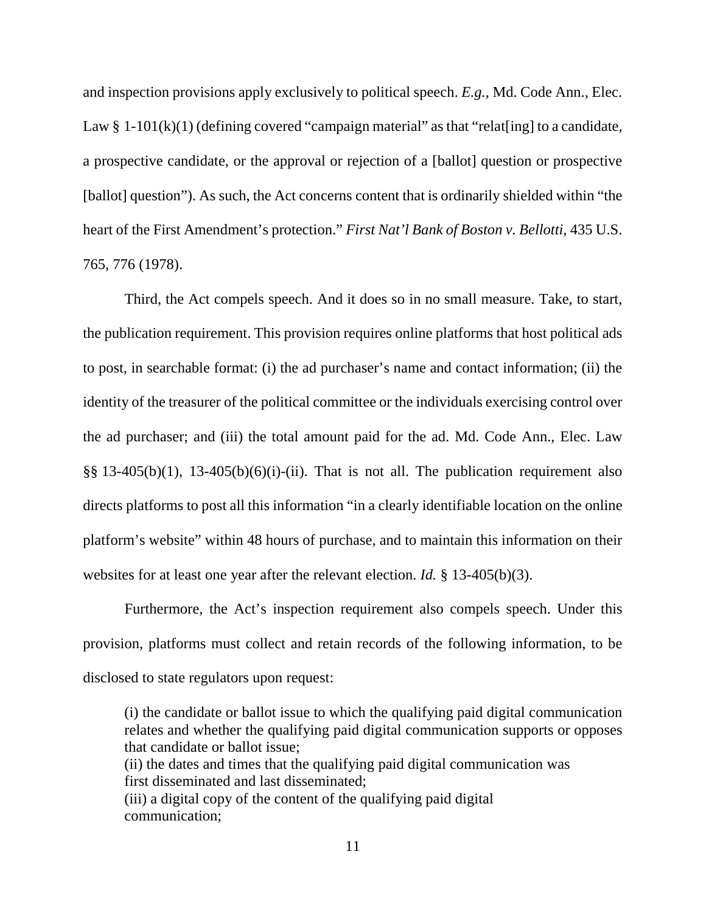and inspection provisions apply exclusively to political speech. *E.g.*, Md. Code Ann., Elec. Law § 1-101(k)(1) (defining covered "campaign material" as that "relat[ing] to a candidate, a prospective candidate, or the approval or rejection of a [ballot] question or prospective [ballot] question"). As such, the Act concerns content that is ordinarily shielded within "the heart of the First Amendment's protection." *First Nat'l Bank of Boston v. Bellotti*, 435 U.S. 765, 776 (1978).

Third, the Act compels speech. And it does so in no small measure. Take, to start, the publication requirement. This provision requires online platforms that host political ads to post, in searchable format: (i) the ad purchaser's name and contact information; (ii) the identity of the treasurer of the political committee or the individuals exercising control over the ad purchaser; and (iii) the total amount paid for the ad. Md. Code Ann., Elec. Law  $\S$ § 13-405(b)(1), 13-405(b)(6)(i)-(ii). That is not all. The publication requirement also directs platforms to post all this information "in a clearly identifiable location on the online platform's website" within 48 hours of purchase, and to maintain this information on their websites for at least one year after the relevant election. *Id.* § 13-405(b)(3).

Furthermore, the Act's inspection requirement also compels speech. Under this provision, platforms must collect and retain records of the following information, to be disclosed to state regulators upon request:

(i) the candidate or ballot issue to which the qualifying paid digital communication relates and whether the qualifying paid digital communication supports or opposes that candidate or ballot issue; (ii) the dates and times that the qualifying paid digital communication was first disseminated and last disseminated; (iii) a digital copy of the content of the qualifying paid digital communication;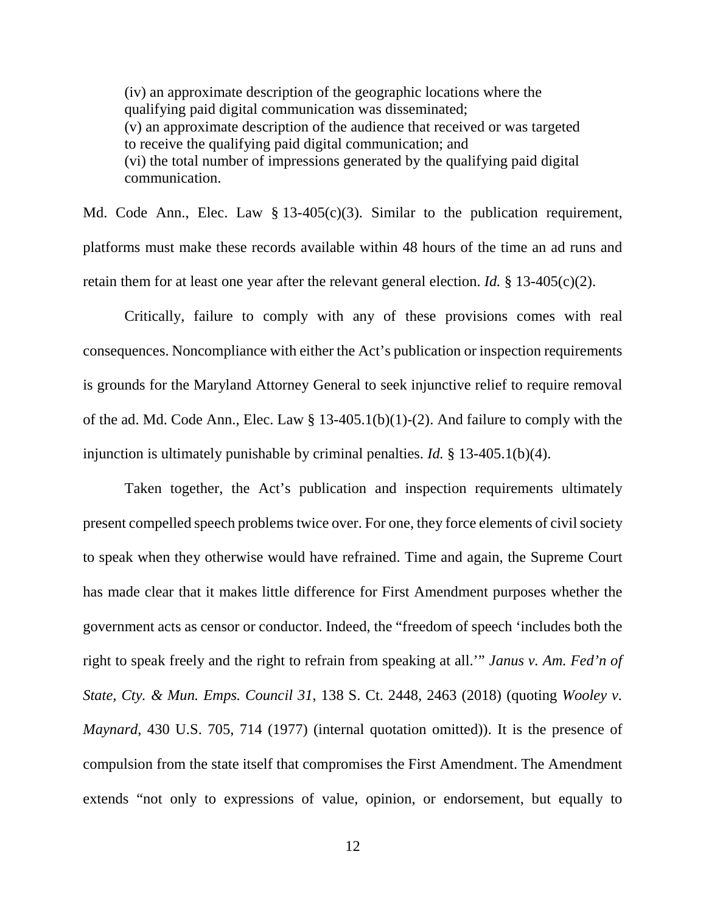(iv) an approximate description of the geographic locations where the qualifying paid digital communication was disseminated; (v) an approximate description of the audience that received or was targeted to receive the qualifying paid digital communication; and (vi) the total number of impressions generated by the qualifying paid digital communication.

Md. Code Ann., Elec. Law  $\S 13-405(c)(3)$ . Similar to the publication requirement, platforms must make these records available within 48 hours of the time an ad runs and retain them for at least one year after the relevant general election. *Id.* § 13-405(c)(2).

Critically, failure to comply with any of these provisions comes with real consequences. Noncompliance with either the Act's publication or inspection requirements is grounds for the Maryland Attorney General to seek injunctive relief to require removal of the ad. Md. Code Ann., Elec. Law  $\S$  13-405.1(b)(1)-(2). And failure to comply with the injunction is ultimately punishable by criminal penalties. *Id.* § 13-405.1(b)(4).

Taken together, the Act's publication and inspection requirements ultimately present compelled speech problems twice over. For one, they force elements of civil society to speak when they otherwise would have refrained. Time and again, the Supreme Court has made clear that it makes little difference for First Amendment purposes whether the government acts as censor or conductor. Indeed, the "freedom of speech 'includes both the right to speak freely and the right to refrain from speaking at all.'" *Janus v. Am. Fed'n of State, Cty. & Mun. Emps. Council 31*, 138 S. Ct. 2448, 2463 (2018) (quoting *Wooley v. Maynard*, 430 U.S. 705, 714 (1977) (internal quotation omitted)). It is the presence of compulsion from the state itself that compromises the First Amendment. The Amendment extends "not only to expressions of value, opinion, or endorsement, but equally to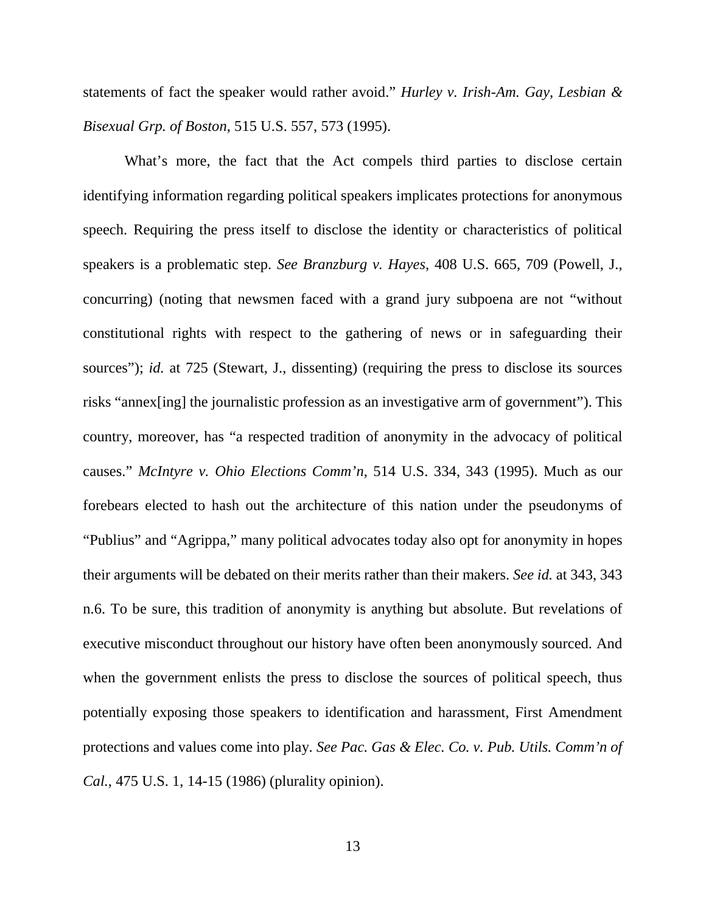statements of fact the speaker would rather avoid." *Hurley v. Irish-Am. Gay, Lesbian & Bisexual Grp. of Boston*, 515 U.S. 557, 573 (1995).

What's more, the fact that the Act compels third parties to disclose certain identifying information regarding political speakers implicates protections for anonymous speech. Requiring the press itself to disclose the identity or characteristics of political speakers is a problematic step. *See Branzburg v. Hayes*, 408 U.S. 665, 709 (Powell, J., concurring) (noting that newsmen faced with a grand jury subpoena are not "without constitutional rights with respect to the gathering of news or in safeguarding their sources"); *id.* at 725 (Stewart, J., dissenting) (requiring the press to disclose its sources risks "annex[ing] the journalistic profession as an investigative arm of government"). This country, moreover, has "a respected tradition of anonymity in the advocacy of political causes." *McIntyre v. Ohio Elections Comm'n*, 514 U.S. 334, 343 (1995). Much as our forebears elected to hash out the architecture of this nation under the pseudonyms of "Publius" and "Agrippa," many political advocates today also opt for anonymity in hopes their arguments will be debated on their merits rather than their makers. *See id.* at 343, 343 n.6. To be sure, this tradition of anonymity is anything but absolute. But revelations of executive misconduct throughout our history have often been anonymously sourced. And when the government enlists the press to disclose the sources of political speech, thus potentially exposing those speakers to identification and harassment, First Amendment protections and values come into play. *See Pac. Gas & Elec. Co. v. Pub. Utils. Comm'n of Cal.*, 475 U.S. 1, 14-15 (1986) (plurality opinion).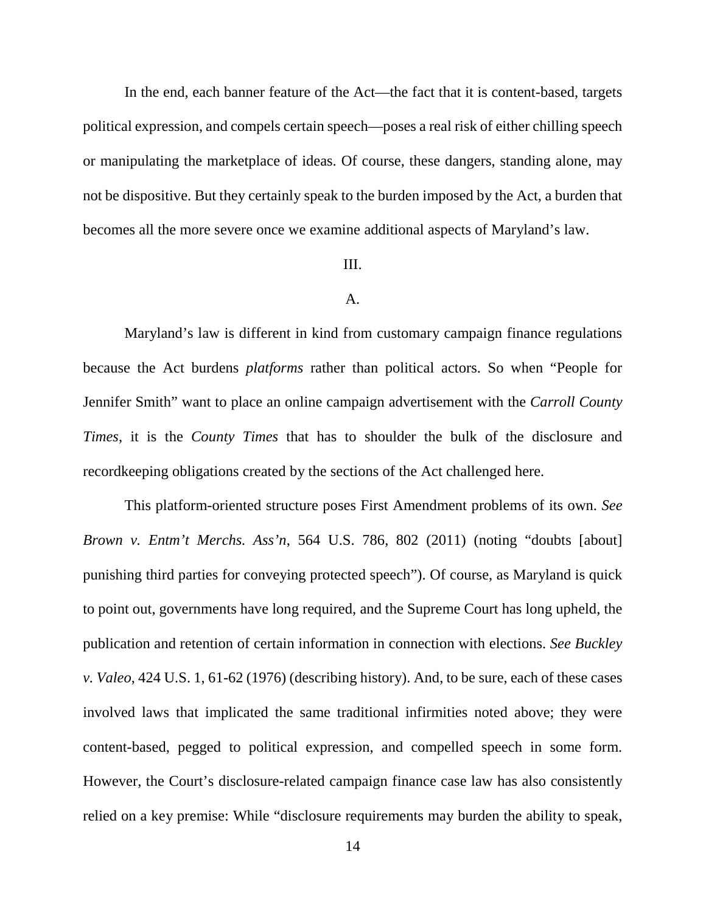In the end, each banner feature of the Act—the fact that it is content-based, targets political expression, and compels certain speech—poses a real risk of either chilling speech or manipulating the marketplace of ideas. Of course, these dangers, standing alone, may not be dispositive. But they certainly speak to the burden imposed by the Act, a burden that becomes all the more severe once we examine additional aspects of Maryland's law.

#### III.

## A.

Maryland's law is different in kind from customary campaign finance regulations because the Act burdens *platforms* rather than political actors. So when "People for Jennifer Smith" want to place an online campaign advertisement with the *Carroll County Times*, it is the *County Times* that has to shoulder the bulk of the disclosure and recordkeeping obligations created by the sections of the Act challenged here.

This platform-oriented structure poses First Amendment problems of its own. *See Brown v. Entm't Merchs. Ass'n*, 564 U.S. 786, 802 (2011) (noting "doubts [about] punishing third parties for conveying protected speech"). Of course, as Maryland is quick to point out, governments have long required, and the Supreme Court has long upheld, the publication and retention of certain information in connection with elections. *See Buckley v. Valeo*, 424 U.S. 1, 61-62 (1976) (describing history). And, to be sure, each of these cases involved laws that implicated the same traditional infirmities noted above; they were content-based, pegged to political expression, and compelled speech in some form. However, the Court's disclosure-related campaign finance case law has also consistently relied on a key premise: While "disclosure requirements may burden the ability to speak,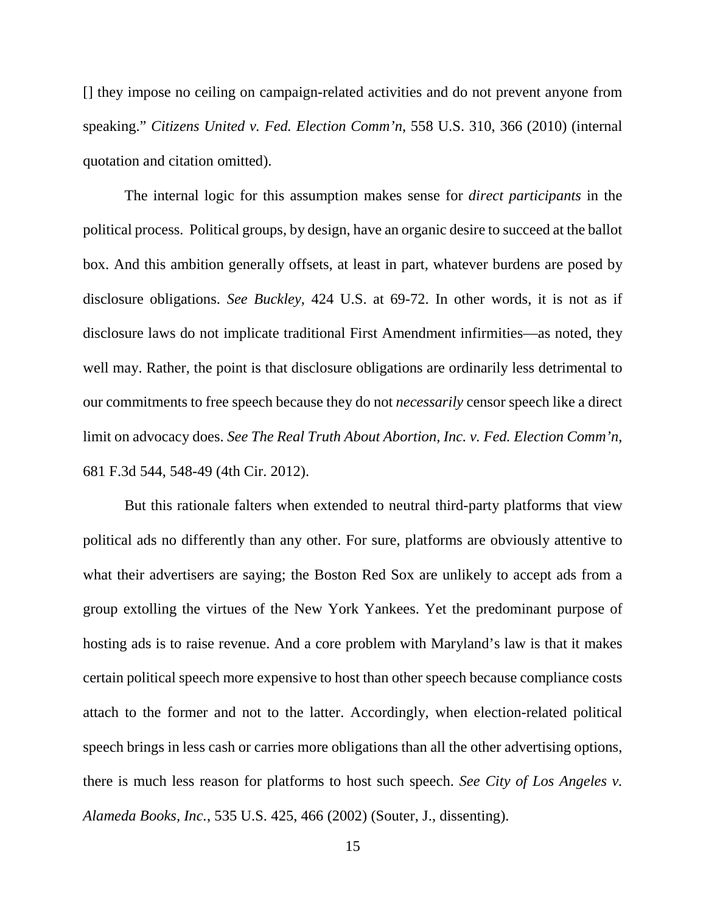[] they impose no ceiling on campaign-related activities and do not prevent anyone from speaking." *Citizens United v. Fed. Election Comm'n*, 558 U.S. 310, 366 (2010) (internal quotation and citation omitted).

The internal logic for this assumption makes sense for *direct participants* in the political process. Political groups, by design, have an organic desire to succeed at the ballot box. And this ambition generally offsets, at least in part, whatever burdens are posed by disclosure obligations. *See Buckley*, 424 U.S. at 69-72. In other words, it is not as if disclosure laws do not implicate traditional First Amendment infirmities—as noted, they well may. Rather, the point is that disclosure obligations are ordinarily less detrimental to our commitments to free speech because they do not *necessarily* censor speech like a direct limit on advocacy does. *See The Real Truth About Abortion, Inc. v. Fed. Election Comm'n*, 681 F.3d 544, 548-49 (4th Cir. 2012).

But this rationale falters when extended to neutral third-party platforms that view political ads no differently than any other. For sure, platforms are obviously attentive to what their advertisers are saying; the Boston Red Sox are unlikely to accept ads from a group extolling the virtues of the New York Yankees. Yet the predominant purpose of hosting ads is to raise revenue. And a core problem with Maryland's law is that it makes certain political speech more expensive to host than other speech because compliance costs attach to the former and not to the latter. Accordingly, when election-related political speech brings in less cash or carries more obligations than all the other advertising options, there is much less reason for platforms to host such speech. *See City of Los Angeles v. Alameda Books, Inc.*, 535 U.S. 425, 466 (2002) (Souter, J., dissenting).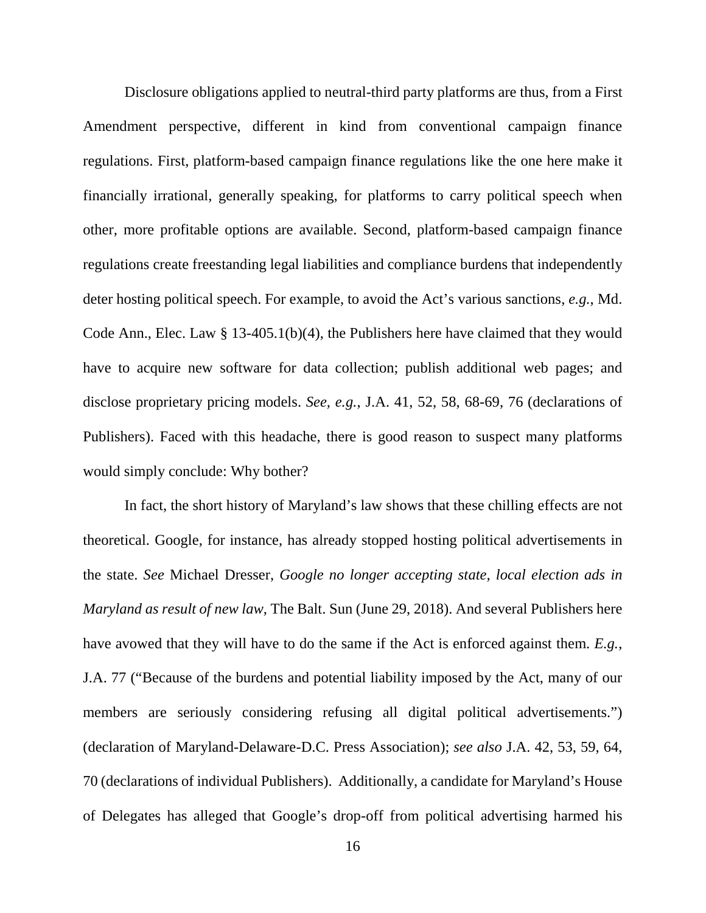Disclosure obligations applied to neutral-third party platforms are thus, from a First Amendment perspective, different in kind from conventional campaign finance regulations. First, platform-based campaign finance regulations like the one here make it financially irrational, generally speaking, for platforms to carry political speech when other, more profitable options are available. Second, platform-based campaign finance regulations create freestanding legal liabilities and compliance burdens that independently deter hosting political speech. For example, to avoid the Act's various sanctions, *e.g.*, Md. Code Ann., Elec. Law § 13-405.1(b)(4), the Publishers here have claimed that they would have to acquire new software for data collection; publish additional web pages; and disclose proprietary pricing models. *See, e.g.*, J.A. 41, 52, 58, 68-69, 76 (declarations of Publishers). Faced with this headache, there is good reason to suspect many platforms would simply conclude: Why bother?

In fact, the short history of Maryland's law shows that these chilling effects are not theoretical. Google, for instance, has already stopped hosting political advertisements in the state. *See* Michael Dresser, *Google no longer accepting state, local election ads in Maryland as result of new law*, The Balt. Sun (June 29, 2018). And several Publishers here have avowed that they will have to do the same if the Act is enforced against them. *E.g.*, J.A. 77 ("Because of the burdens and potential liability imposed by the Act, many of our members are seriously considering refusing all digital political advertisements.") (declaration of Maryland-Delaware-D.C. Press Association); *see also* J.A. 42, 53, 59, 64, 70 (declarations of individual Publishers). Additionally, a candidate for Maryland's House of Delegates has alleged that Google's drop-off from political advertising harmed his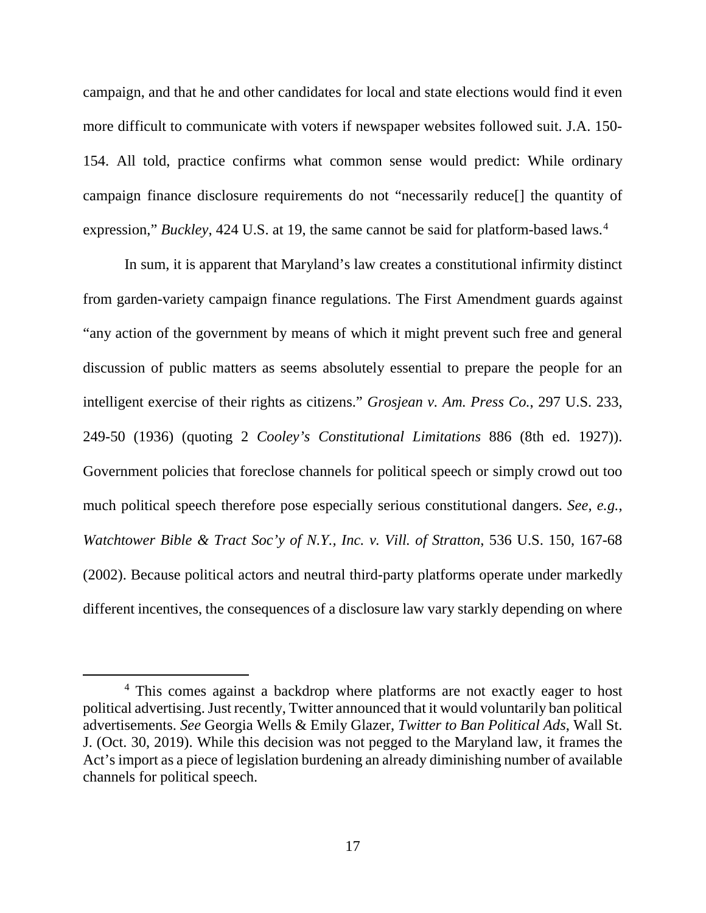campaign, and that he and other candidates for local and state elections would find it even more difficult to communicate with voters if newspaper websites followed suit. J.A. 150- 154. All told, practice confirms what common sense would predict: While ordinary campaign finance disclosure requirements do not "necessarily reduce[] the quantity of expression," *Buckley*, [4](#page-16-0)24 U.S. at 19, the same cannot be said for platform-based laws.<sup>4</sup>

In sum, it is apparent that Maryland's law creates a constitutional infirmity distinct from garden-variety campaign finance regulations. The First Amendment guards against "any action of the government by means of which it might prevent such free and general discussion of public matters as seems absolutely essential to prepare the people for an intelligent exercise of their rights as citizens." *Grosjean v. Am. Press Co.*, 297 U.S. 233, 249-50 (1936) (quoting 2 *Cooley's Constitutional Limitations* 886 (8th ed. 1927)). Government policies that foreclose channels for political speech or simply crowd out too much political speech therefore pose especially serious constitutional dangers. *See, e.g.*, *Watchtower Bible & Tract Soc'y of N.Y., Inc. v. Vill. of Stratton*, 536 U.S. 150, 167-68 (2002). Because political actors and neutral third-party platforms operate under markedly different incentives, the consequences of a disclosure law vary starkly depending on where

<span id="page-16-0"></span> <sup>4</sup> This comes against a backdrop where platforms are not exactly eager to host political advertising. Just recently, Twitter announced that it would voluntarily ban political advertisements. *See* Georgia Wells & Emily Glazer, *Twitter to Ban Political Ads*, Wall St. J. (Oct. 30, 2019). While this decision was not pegged to the Maryland law, it frames the Act's import as a piece of legislation burdening an already diminishing number of available channels for political speech.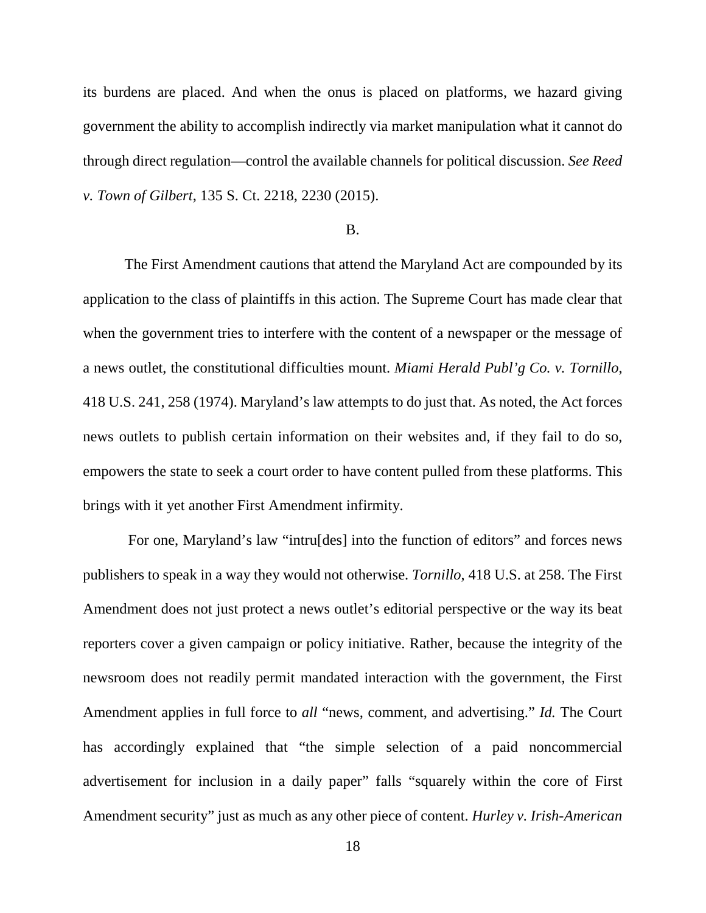its burdens are placed. And when the onus is placed on platforms, we hazard giving government the ability to accomplish indirectly via market manipulation what it cannot do through direct regulation—control the available channels for political discussion. *See Reed v. Town of Gilbert*, 135 S. Ct. 2218, 2230 (2015).

## B.

The First Amendment cautions that attend the Maryland Act are compounded by its application to the class of plaintiffs in this action. The Supreme Court has made clear that when the government tries to interfere with the content of a newspaper or the message of a news outlet, the constitutional difficulties mount. *Miami Herald Publ'g Co. v. Tornillo*, 418 U.S. 241, 258 (1974). Maryland's law attempts to do just that. As noted, the Act forces news outlets to publish certain information on their websites and, if they fail to do so, empowers the state to seek a court order to have content pulled from these platforms. This brings with it yet another First Amendment infirmity.

For one, Maryland's law "intru[des] into the function of editors" and forces news publishers to speak in a way they would not otherwise. *Tornillo*, 418 U.S. at 258. The First Amendment does not just protect a news outlet's editorial perspective or the way its beat reporters cover a given campaign or policy initiative. Rather, because the integrity of the newsroom does not readily permit mandated interaction with the government, the First Amendment applies in full force to *all* "news, comment, and advertising." *Id.* The Court has accordingly explained that "the simple selection of a paid noncommercial advertisement for inclusion in a daily paper" falls "squarely within the core of First Amendment security" just as much as any other piece of content. *Hurley v. Irish-American*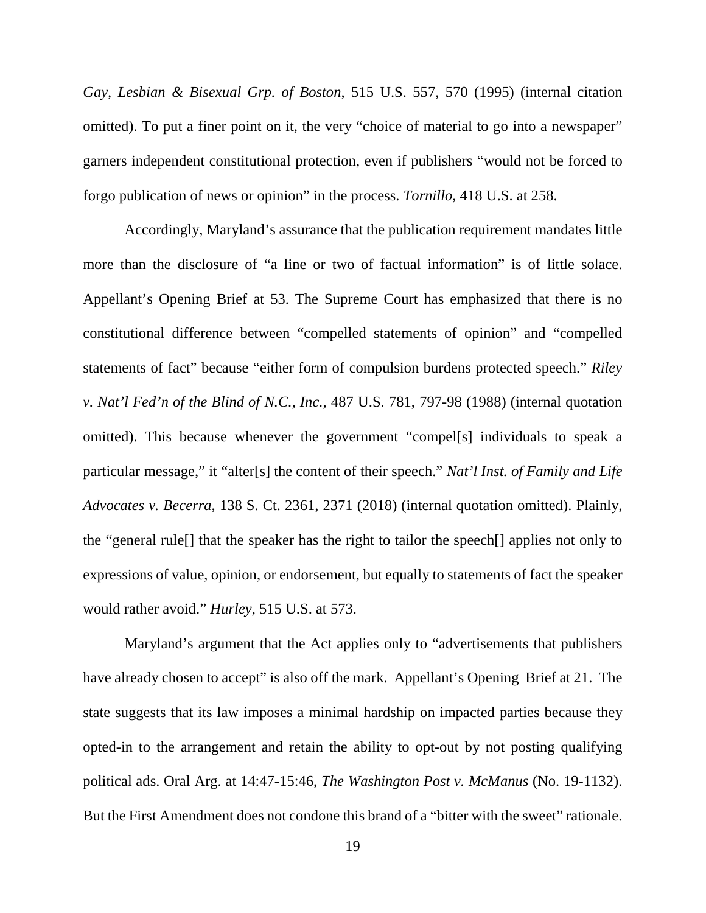*Gay, Lesbian & Bisexual Grp. of Boston*, 515 U.S. 557, 570 (1995) (internal citation omitted). To put a finer point on it, the very "choice of material to go into a newspaper" garners independent constitutional protection, even if publishers "would not be forced to forgo publication of news or opinion" in the process. *Tornillo*, 418 U.S. at 258.

Accordingly, Maryland's assurance that the publication requirement mandates little more than the disclosure of "a line or two of factual information" is of little solace. Appellant's Opening Brief at 53. The Supreme Court has emphasized that there is no constitutional difference between "compelled statements of opinion" and "compelled statements of fact" because "either form of compulsion burdens protected speech." *Riley v. Nat'l Fed'n of the Blind of N.C., Inc.*, 487 U.S. 781, 797-98 (1988) (internal quotation omitted). This because whenever the government "compel[s] individuals to speak a particular message," it "alter[s] the content of their speech." *Nat'l Inst. of Family and Life Advocates v. Becerra*, 138 S. Ct. 2361, 2371 (2018) (internal quotation omitted). Plainly, the "general rule[] that the speaker has the right to tailor the speech[] applies not only to expressions of value, opinion, or endorsement, but equally to statements of fact the speaker would rather avoid." *Hurley*, 515 U.S. at 573.

Maryland's argument that the Act applies only to "advertisements that publishers have already chosen to accept" is also off the mark. Appellant's Opening Brief at 21. The state suggests that its law imposes a minimal hardship on impacted parties because they opted-in to the arrangement and retain the ability to opt-out by not posting qualifying political ads. Oral Arg. at 14:47-15:46, *The Washington Post v. McManus* (No. 19-1132). But the First Amendment does not condone this brand of a "bitter with the sweet" rationale.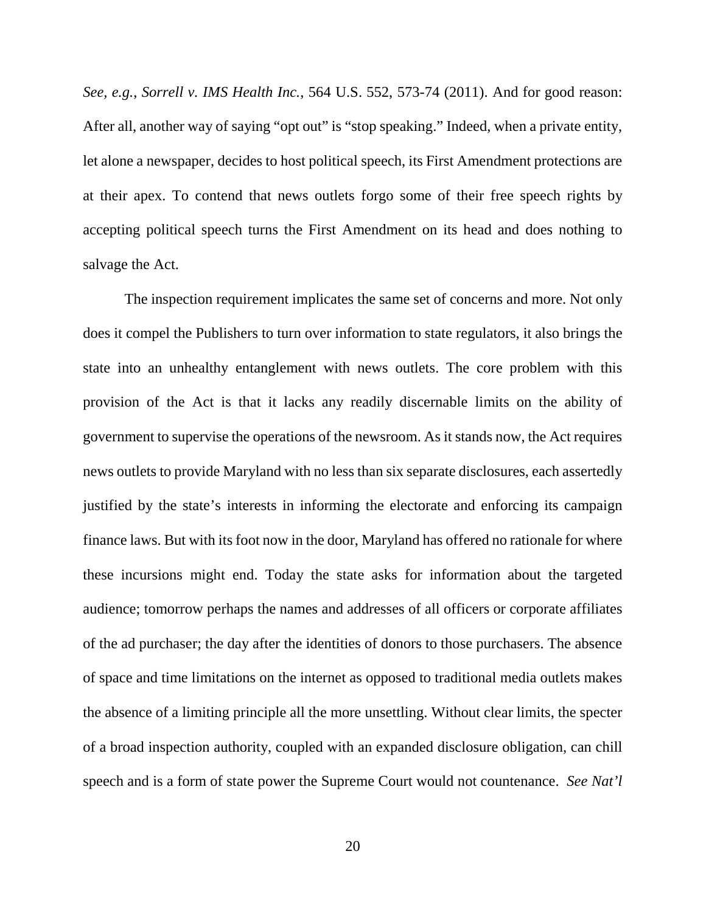*See, e.g.*, *Sorrell v. IMS Health Inc.*, 564 U.S. 552, 573-74 (2011). And for good reason: After all, another way of saying "opt out" is "stop speaking." Indeed, when a private entity, let alone a newspaper, decides to host political speech, its First Amendment protections are at their apex. To contend that news outlets forgo some of their free speech rights by accepting political speech turns the First Amendment on its head and does nothing to salvage the Act.

The inspection requirement implicates the same set of concerns and more. Not only does it compel the Publishers to turn over information to state regulators, it also brings the state into an unhealthy entanglement with news outlets. The core problem with this provision of the Act is that it lacks any readily discernable limits on the ability of government to supervise the operations of the newsroom. As it stands now, the Act requires news outlets to provide Maryland with no less than six separate disclosures, each assertedly justified by the state's interests in informing the electorate and enforcing its campaign finance laws. But with its foot now in the door, Maryland has offered no rationale for where these incursions might end. Today the state asks for information about the targeted audience; tomorrow perhaps the names and addresses of all officers or corporate affiliates of the ad purchaser; the day after the identities of donors to those purchasers. The absence of space and time limitations on the internet as opposed to traditional media outlets makes the absence of a limiting principle all the more unsettling. Without clear limits, the specter of a broad inspection authority, coupled with an expanded disclosure obligation, can chill speech and is a form of state power the Supreme Court would not countenance. *See Nat'l*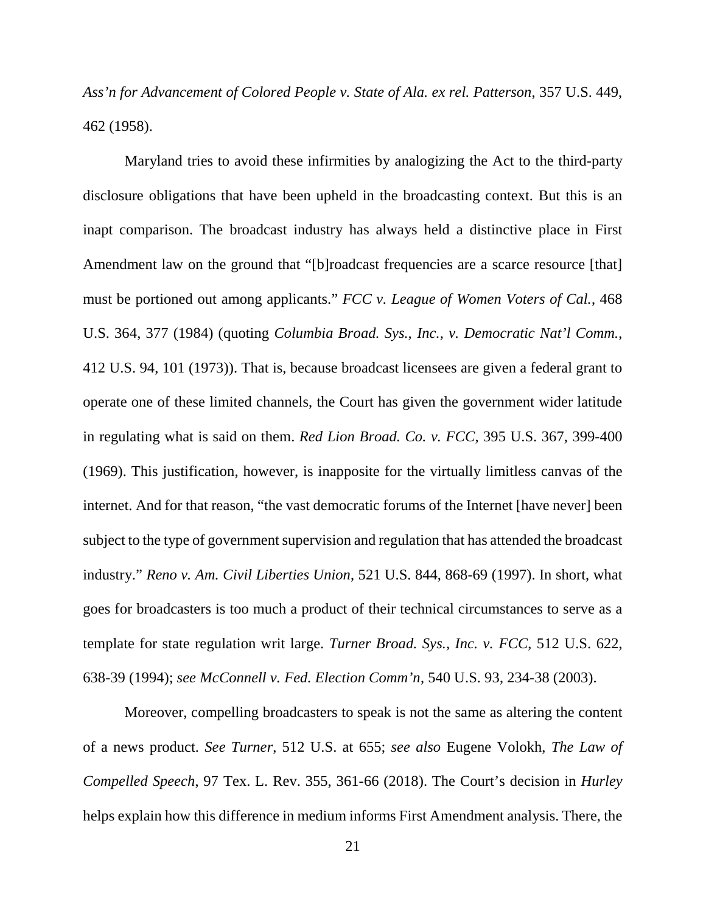*Ass'n for Advancement of Colored People v. State of Ala. ex rel. Patterson*, 357 U.S. 449, 462 (1958).

Maryland tries to avoid these infirmities by analogizing the Act to the third-party disclosure obligations that have been upheld in the broadcasting context. But this is an inapt comparison. The broadcast industry has always held a distinctive place in First Amendment law on the ground that "[b]roadcast frequencies are a scarce resource [that] must be portioned out among applicants." *FCC v. League of Women Voters of Cal.*, 468 U.S. 364, 377 (1984) (quoting *Columbia Broad. Sys., Inc., v. Democratic Nat'l Comm.*, 412 U.S. 94, 101 (1973)). That is, because broadcast licensees are given a federal grant to operate one of these limited channels, the Court has given the government wider latitude in regulating what is said on them. *Red Lion Broad. Co. v. FCC*, 395 U.S. 367, 399-400 (1969). This justification, however, is inapposite for the virtually limitless canvas of the internet. And for that reason, "the vast democratic forums of the Internet [have never] been subject to the type of government supervision and regulation that has attended the broadcast industry." *Reno v. Am. Civil Liberties Union*, 521 U.S. 844, 868-69 (1997). In short, what goes for broadcasters is too much a product of their technical circumstances to serve as a template for state regulation writ large. *Turner Broad. Sys., Inc. v. FCC*, 512 U.S. 622, 638-39 (1994); *see McConnell v. Fed. Election Comm'n*, 540 U.S. 93, 234-38 (2003).

Moreover, compelling broadcasters to speak is not the same as altering the content of a news product. *See Turner*, 512 U.S. at 655; *see also* Eugene Volokh, *The Law of Compelled Speech*, 97 Tex. L. Rev. 355, 361-66 (2018). The Court's decision in *Hurley* helps explain how this difference in medium informs First Amendment analysis. There, the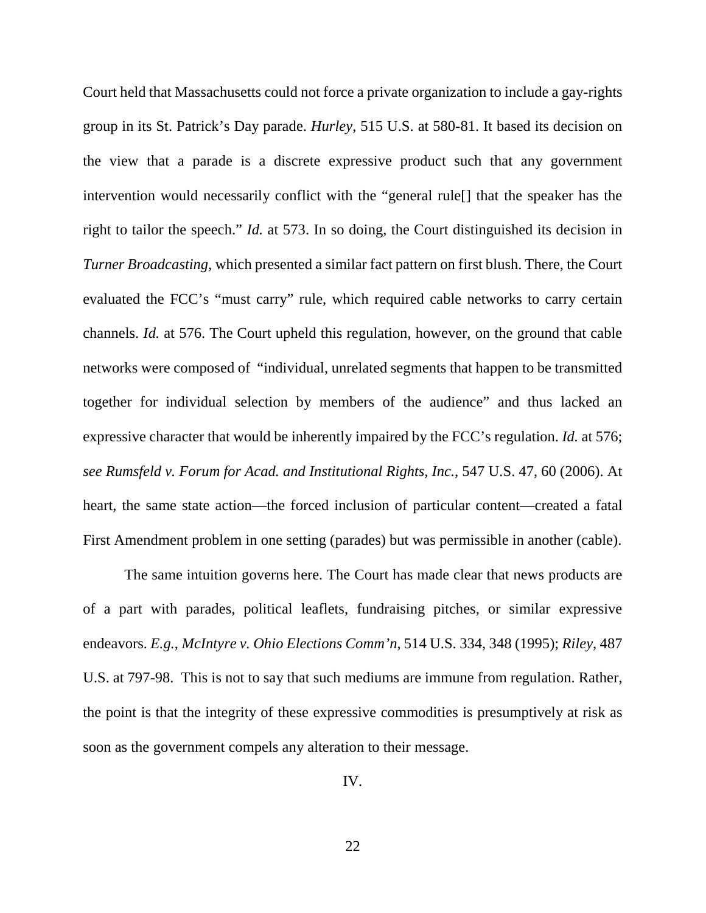Court held that Massachusetts could not force a private organization to include a gay-rights group in its St. Patrick's Day parade. *Hurley*, 515 U.S. at 580-81. It based its decision on the view that a parade is a discrete expressive product such that any government intervention would necessarily conflict with the "general rule[] that the speaker has the right to tailor the speech." *Id.* at 573. In so doing, the Court distinguished its decision in *Turner Broadcasting*, which presented a similar fact pattern on first blush. There, the Court evaluated the FCC's "must carry" rule, which required cable networks to carry certain channels. *Id.* at 576. The Court upheld this regulation, however, on the ground that cable networks were composed of "individual, unrelated segments that happen to be transmitted together for individual selection by members of the audience" and thus lacked an expressive character that would be inherently impaired by the FCC's regulation. *Id.* at 576; *see Rumsfeld v. Forum for Acad. and Institutional Rights, Inc.*, 547 U.S. 47, 60 (2006). At heart, the same state action—the forced inclusion of particular content—created a fatal First Amendment problem in one setting (parades) but was permissible in another (cable).

The same intuition governs here. The Court has made clear that news products are of a part with parades, political leaflets, fundraising pitches, or similar expressive endeavors. *E.g.*, *McIntyre v. Ohio Elections Comm'n*, 514 U.S. 334, 348 (1995); *Riley*, 487 U.S. at 797-98. This is not to say that such mediums are immune from regulation. Rather, the point is that the integrity of these expressive commodities is presumptively at risk as soon as the government compels any alteration to their message.

IV.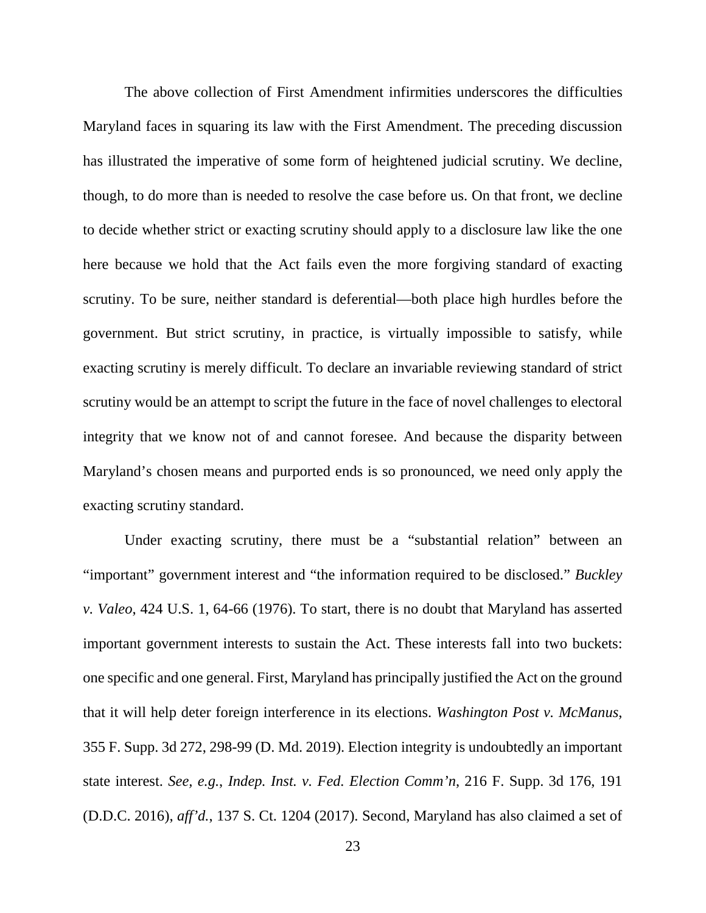The above collection of First Amendment infirmities underscores the difficulties Maryland faces in squaring its law with the First Amendment. The preceding discussion has illustrated the imperative of some form of heightened judicial scrutiny. We decline, though, to do more than is needed to resolve the case before us. On that front, we decline to decide whether strict or exacting scrutiny should apply to a disclosure law like the one here because we hold that the Act fails even the more forgiving standard of exacting scrutiny. To be sure, neither standard is deferential—both place high hurdles before the government. But strict scrutiny, in practice, is virtually impossible to satisfy, while exacting scrutiny is merely difficult. To declare an invariable reviewing standard of strict scrutiny would be an attempt to script the future in the face of novel challenges to electoral integrity that we know not of and cannot foresee. And because the disparity between Maryland's chosen means and purported ends is so pronounced, we need only apply the exacting scrutiny standard.

Under exacting scrutiny, there must be a "substantial relation" between an "important" government interest and "the information required to be disclosed." *Buckley v. Valeo*, 424 U.S. 1, 64-66 (1976). To start, there is no doubt that Maryland has asserted important government interests to sustain the Act. These interests fall into two buckets: one specific and one general. First, Maryland has principally justified the Act on the ground that it will help deter foreign interference in its elections. *Washington Post v. McManus*, 355 F. Supp. 3d 272, 298-99 (D. Md. 2019). Election integrity is undoubtedly an important state interest. *See, e.g.*, *Indep. Inst. v. Fed. Election Comm'n*, 216 F. Supp. 3d 176, 191 (D.D.C. 2016), *aff'd.*, 137 S. Ct. 1204 (2017). Second, Maryland has also claimed a set of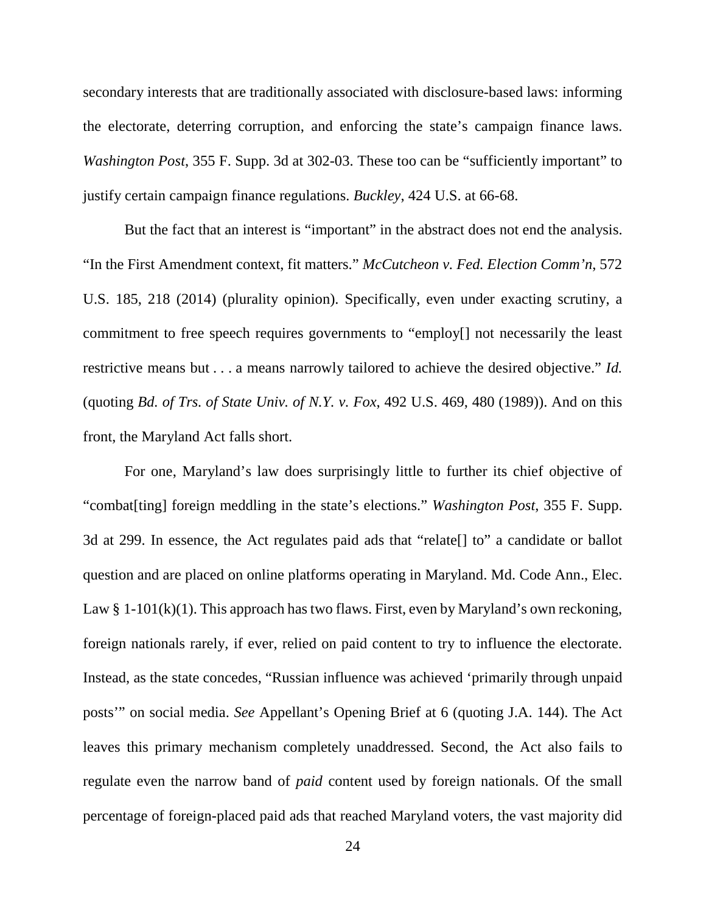secondary interests that are traditionally associated with disclosure-based laws: informing the electorate, deterring corruption, and enforcing the state's campaign finance laws. *Washington Post*, 355 F. Supp. 3d at 302-03. These too can be "sufficiently important" to justify certain campaign finance regulations. *Buckley*, 424 U.S. at 66-68.

But the fact that an interest is "important" in the abstract does not end the analysis. "In the First Amendment context, fit matters." *McCutcheon v. Fed. Election Comm'n*, 572 U.S. 185, 218 (2014) (plurality opinion). Specifically, even under exacting scrutiny, a commitment to free speech requires governments to "employ[] not necessarily the least restrictive means but . . . a means narrowly tailored to achieve the desired objective." *Id.* (quoting *Bd. of Trs. of State Univ. of N.Y. v. Fox*, 492 U.S. 469, 480 (1989)). And on this front, the Maryland Act falls short.

For one, Maryland's law does surprisingly little to further its chief objective of "combat[ting] foreign meddling in the state's elections." *Washington Post*, 355 F. Supp. 3d at 299. In essence, the Act regulates paid ads that "relate[] to" a candidate or ballot question and are placed on online platforms operating in Maryland. Md. Code Ann., Elec. Law  $\S 1-101(k)(1)$ . This approach has two flaws. First, even by Maryland's own reckoning, foreign nationals rarely, if ever, relied on paid content to try to influence the electorate. Instead, as the state concedes, "Russian influence was achieved 'primarily through unpaid posts'" on social media. *See* Appellant's Opening Brief at 6 (quoting J.A. 144). The Act leaves this primary mechanism completely unaddressed. Second, the Act also fails to regulate even the narrow band of *paid* content used by foreign nationals. Of the small percentage of foreign-placed paid ads that reached Maryland voters, the vast majority did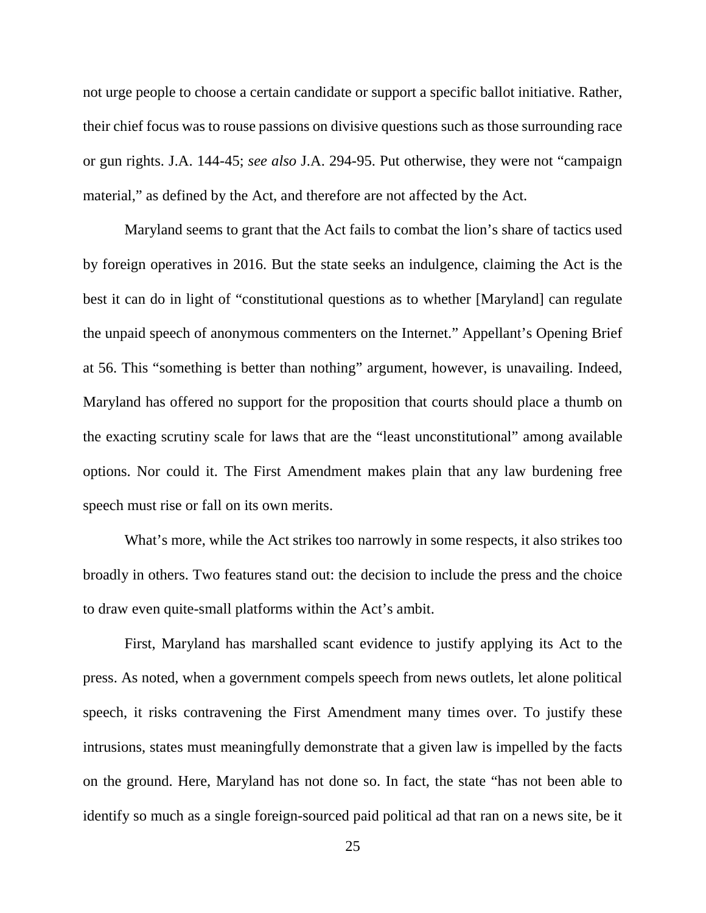not urge people to choose a certain candidate or support a specific ballot initiative. Rather, their chief focus was to rouse passions on divisive questions such as those surrounding race or gun rights. J.A. 144-45; *see also* J.A. 294-95. Put otherwise, they were not "campaign material," as defined by the Act, and therefore are not affected by the Act.

Maryland seems to grant that the Act fails to combat the lion's share of tactics used by foreign operatives in 2016. But the state seeks an indulgence, claiming the Act is the best it can do in light of "constitutional questions as to whether [Maryland] can regulate the unpaid speech of anonymous commenters on the Internet." Appellant's Opening Brief at 56. This "something is better than nothing" argument, however, is unavailing. Indeed, Maryland has offered no support for the proposition that courts should place a thumb on the exacting scrutiny scale for laws that are the "least unconstitutional" among available options. Nor could it. The First Amendment makes plain that any law burdening free speech must rise or fall on its own merits.

What's more, while the Act strikes too narrowly in some respects, it also strikes too broadly in others. Two features stand out: the decision to include the press and the choice to draw even quite-small platforms within the Act's ambit.

First, Maryland has marshalled scant evidence to justify applying its Act to the press. As noted, when a government compels speech from news outlets, let alone political speech, it risks contravening the First Amendment many times over. To justify these intrusions, states must meaningfully demonstrate that a given law is impelled by the facts on the ground. Here, Maryland has not done so. In fact, the state "has not been able to identify so much as a single foreign-sourced paid political ad that ran on a news site, be it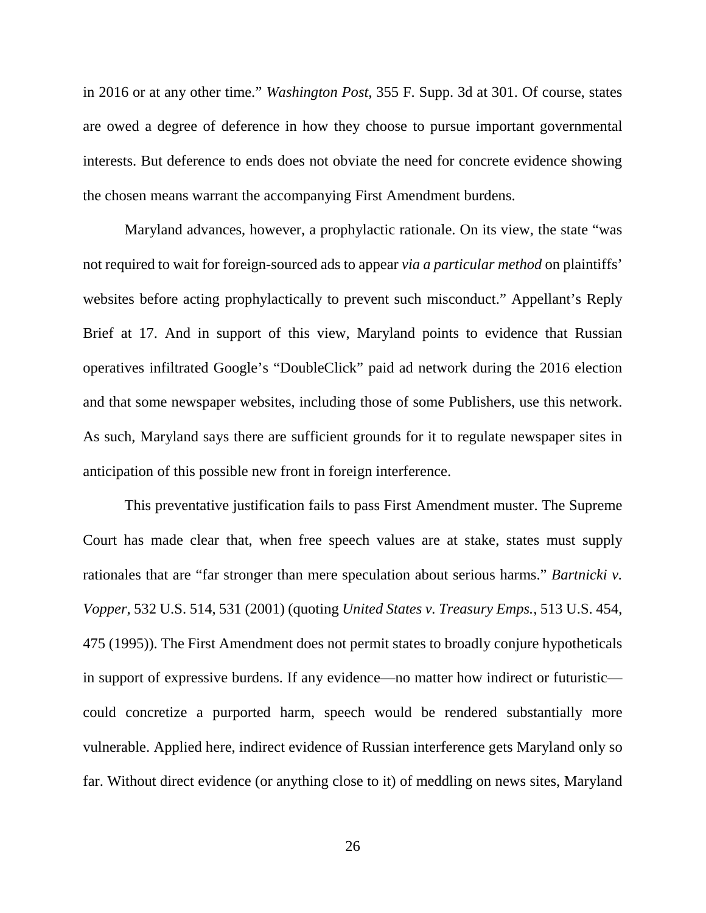in 2016 or at any other time." *Washington Post*, 355 F. Supp. 3d at 301. Of course, states are owed a degree of deference in how they choose to pursue important governmental interests. But deference to ends does not obviate the need for concrete evidence showing the chosen means warrant the accompanying First Amendment burdens.

Maryland advances, however, a prophylactic rationale. On its view, the state "was not required to wait for foreign-sourced ads to appear *via a particular method* on plaintiffs' websites before acting prophylactically to prevent such misconduct." Appellant's Reply Brief at 17. And in support of this view, Maryland points to evidence that Russian operatives infiltrated Google's "DoubleClick" paid ad network during the 2016 election and that some newspaper websites, including those of some Publishers, use this network. As such, Maryland says there are sufficient grounds for it to regulate newspaper sites in anticipation of this possible new front in foreign interference.

This preventative justification fails to pass First Amendment muster. The Supreme Court has made clear that, when free speech values are at stake, states must supply rationales that are "far stronger than mere speculation about serious harms." *Bartnicki v. Vopper*, 532 U.S. 514, 531 (2001) (quoting *United States v. Treasury Emps.*, 513 U.S. 454, 475 (1995)). The First Amendment does not permit states to broadly conjure hypotheticals in support of expressive burdens. If any evidence—no matter how indirect or futuristic could concretize a purported harm, speech would be rendered substantially more vulnerable. Applied here, indirect evidence of Russian interference gets Maryland only so far. Without direct evidence (or anything close to it) of meddling on news sites, Maryland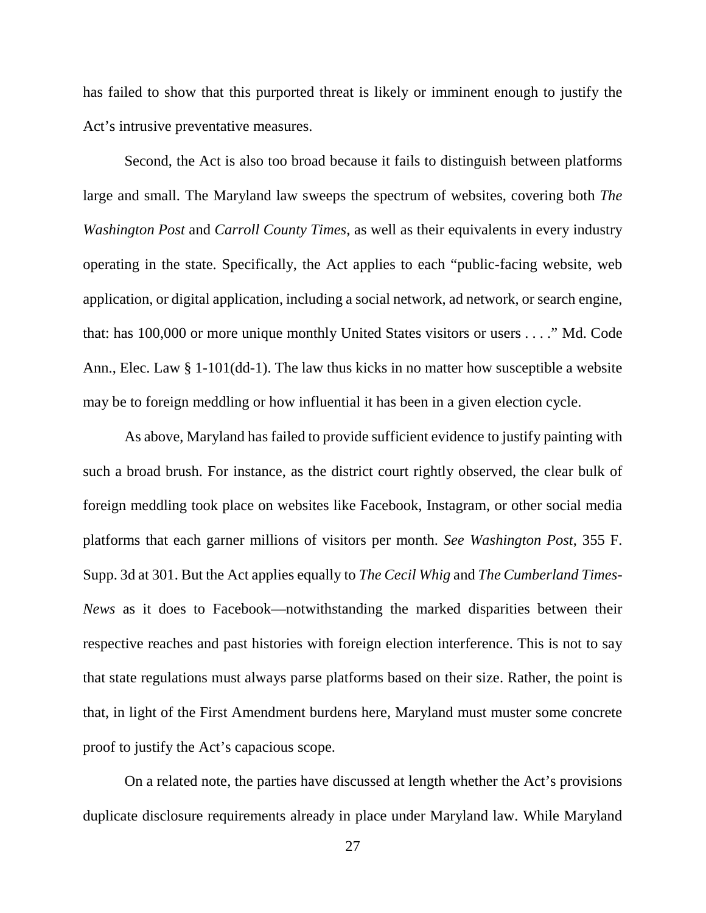has failed to show that this purported threat is likely or imminent enough to justify the Act's intrusive preventative measures.

Second, the Act is also too broad because it fails to distinguish between platforms large and small. The Maryland law sweeps the spectrum of websites, covering both *The Washington Post* and *Carroll County Times*, as well as their equivalents in every industry operating in the state. Specifically, the Act applies to each "public-facing website, web application, or digital application, including a social network, ad network, or search engine, that: has 100,000 or more unique monthly United States visitors or users . . . ." Md. Code Ann., Elec. Law § 1-101(dd-1). The law thus kicks in no matter how susceptible a website may be to foreign meddling or how influential it has been in a given election cycle.

As above, Maryland has failed to provide sufficient evidence to justify painting with such a broad brush. For instance, as the district court rightly observed, the clear bulk of foreign meddling took place on websites like Facebook, Instagram, or other social media platforms that each garner millions of visitors per month. *See Washington Post*, 355 F. Supp. 3d at 301. But the Act applies equally to *The Cecil Whig* and *The Cumberland Times-News* as it does to Facebook—notwithstanding the marked disparities between their respective reaches and past histories with foreign election interference. This is not to say that state regulations must always parse platforms based on their size. Rather, the point is that, in light of the First Amendment burdens here, Maryland must muster some concrete proof to justify the Act's capacious scope.

On a related note, the parties have discussed at length whether the Act's provisions duplicate disclosure requirements already in place under Maryland law. While Maryland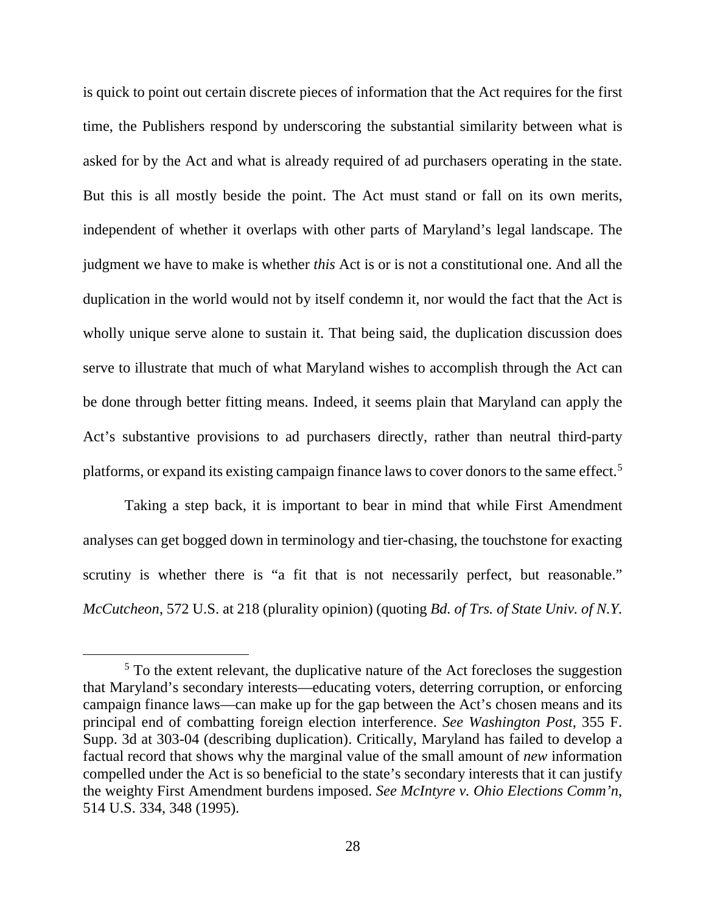is quick to point out certain discrete pieces of information that the Act requires for the first time, the Publishers respond by underscoring the substantial similarity between what is asked for by the Act and what is already required of ad purchasers operating in the state. But this is all mostly beside the point. The Act must stand or fall on its own merits, independent of whether it overlaps with other parts of Maryland's legal landscape. The judgment we have to make is whether *this* Act is or is not a constitutional one. And all the duplication in the world would not by itself condemn it, nor would the fact that the Act is wholly unique serve alone to sustain it. That being said, the duplication discussion does serve to illustrate that much of what Maryland wishes to accomplish through the Act can be done through better fitting means. Indeed, it seems plain that Maryland can apply the Act's substantive provisions to ad purchasers directly, rather than neutral third-party platforms, or expand its existing campaign finance laws to cover donors to the same effect.<sup>[5](#page-27-0)</sup>

Taking a step back, it is important to bear in mind that while First Amendment analyses can get bogged down in terminology and tier-chasing, the touchstone for exacting scrutiny is whether there is "a fit that is not necessarily perfect, but reasonable." *McCutcheon*, 572 U.S. at 218 (plurality opinion) (quoting *Bd. of Trs. of State Univ. of N.Y.* 

<span id="page-27-0"></span><sup>&</sup>lt;sup>5</sup> To the extent relevant, the duplicative nature of the Act forecloses the suggestion that Maryland's secondary interests—educating voters, deterring corruption, or enforcing campaign finance laws—can make up for the gap between the Act's chosen means and its principal end of combatting foreign election interference. *See Washington Post*, 355 F. Supp. 3d at 303-04 (describing duplication). Critically, Maryland has failed to develop a factual record that shows why the marginal value of the small amount of *new* information compelled under the Act is so beneficial to the state's secondary interests that it can justify the weighty First Amendment burdens imposed. *See McIntyre v. Ohio Elections Comm'n*, 514 U.S. 334, 348 (1995).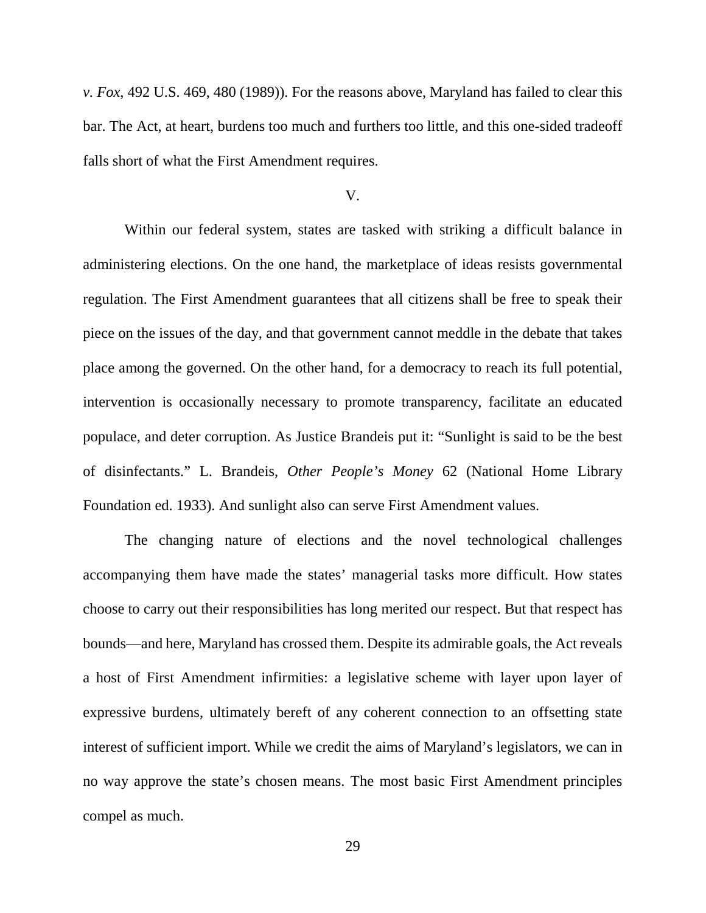*v. Fox*, 492 U.S. 469, 480 (1989)). For the reasons above, Maryland has failed to clear this bar. The Act, at heart, burdens too much and furthers too little, and this one-sided tradeoff falls short of what the First Amendment requires.

#### V.

Within our federal system, states are tasked with striking a difficult balance in administering elections. On the one hand, the marketplace of ideas resists governmental regulation. The First Amendment guarantees that all citizens shall be free to speak their piece on the issues of the day, and that government cannot meddle in the debate that takes place among the governed. On the other hand, for a democracy to reach its full potential, intervention is occasionally necessary to promote transparency, facilitate an educated populace, and deter corruption. As Justice Brandeis put it: "Sunlight is said to be the best of disinfectants." L. Brandeis, *Other People's Money* 62 (National Home Library Foundation ed. 1933). And sunlight also can serve First Amendment values.

The changing nature of elections and the novel technological challenges accompanying them have made the states' managerial tasks more difficult. How states choose to carry out their responsibilities has long merited our respect. But that respect has bounds—and here, Maryland has crossed them. Despite its admirable goals, the Act reveals a host of First Amendment infirmities: a legislative scheme with layer upon layer of expressive burdens, ultimately bereft of any coherent connection to an offsetting state interest of sufficient import. While we credit the aims of Maryland's legislators, we can in no way approve the state's chosen means. The most basic First Amendment principles compel as much.